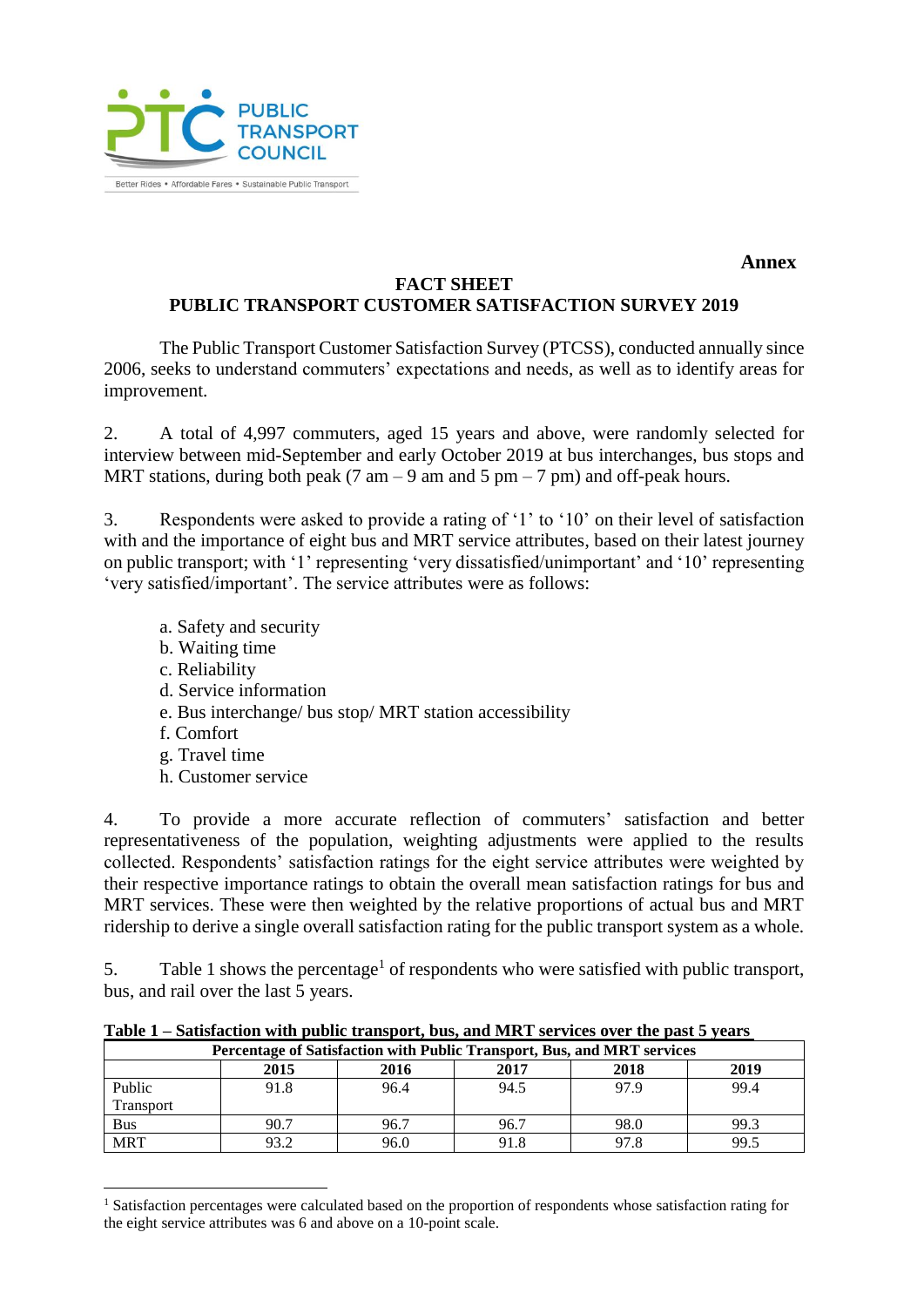

Better Rides · Affordable Fares · Sustainable Public Transport

## **Annex**

## **FACT SHEET PUBLIC TRANSPORT CUSTOMER SATISFACTION SURVEY 2019**

The Public Transport Customer Satisfaction Survey (PTCSS), conducted annually since 2006, seeks to understand commuters' expectations and needs, as well as to identify areas for improvement.

2. A total of 4,997 commuters, aged 15 years and above, were randomly selected for interview between mid-September and early October 2019 at bus interchanges, bus stops and MRT stations, during both peak (7 am – 9 am and 5 pm – 7 pm) and off-peak hours.

3. Respondents were asked to provide a rating of '1' to '10' on their level of satisfaction with and the importance of eight bus and MRT service attributes, based on their latest journey on public transport; with '1' representing 'very dissatisfied/unimportant' and '10' representing 'very satisfied/important'. The service attributes were as follows:

- a. Safety and security
- b. Waiting time
- c. Reliability
- d. Service information
- e. Bus interchange/ bus stop/ MRT station accessibility
- f. Comfort
- g. Travel time
- h. Customer service

4. To provide a more accurate reflection of commuters' satisfaction and better representativeness of the population, weighting adjustments were applied to the results collected. Respondents' satisfaction ratings for the eight service attributes were weighted by their respective importance ratings to obtain the overall mean satisfaction ratings for bus and MRT services. These were then weighted by the relative proportions of actual bus and MRT ridership to derive a single overall satisfaction rating for the public transport system as a whole.

5. Table 1 shows the percentage<sup>1</sup> of respondents who were satisfied with public transport, bus, and rail over the last 5 years.

| Table 1 – Satisfaction with public transport, bus, and MRT services over the past 5 years |  |  |  |  |
|-------------------------------------------------------------------------------------------|--|--|--|--|
|                                                                                           |  |  |  |  |

| Percentage of Satisfaction with Public Transport, Bus, and MRT services |      |      |      |      |      |  |
|-------------------------------------------------------------------------|------|------|------|------|------|--|
|                                                                         | 2015 | 2016 | 2017 | 2018 | 2019 |  |
| Public                                                                  | 91.8 | 96.4 | 94.5 | 97.9 | 99.4 |  |
| Transport                                                               |      |      |      |      |      |  |
| <b>Bus</b>                                                              | 90.7 | 96.7 | 96.7 | 98.0 | 99.3 |  |
| <b>MRT</b>                                                              | 93.2 | 96.0 | 91.8 | 97.8 | 99.5 |  |

<sup>1</sup> <sup>1</sup> Satisfaction percentages were calculated based on the proportion of respondents whose satisfaction rating for the eight service attributes was 6 and above on a 10-point scale.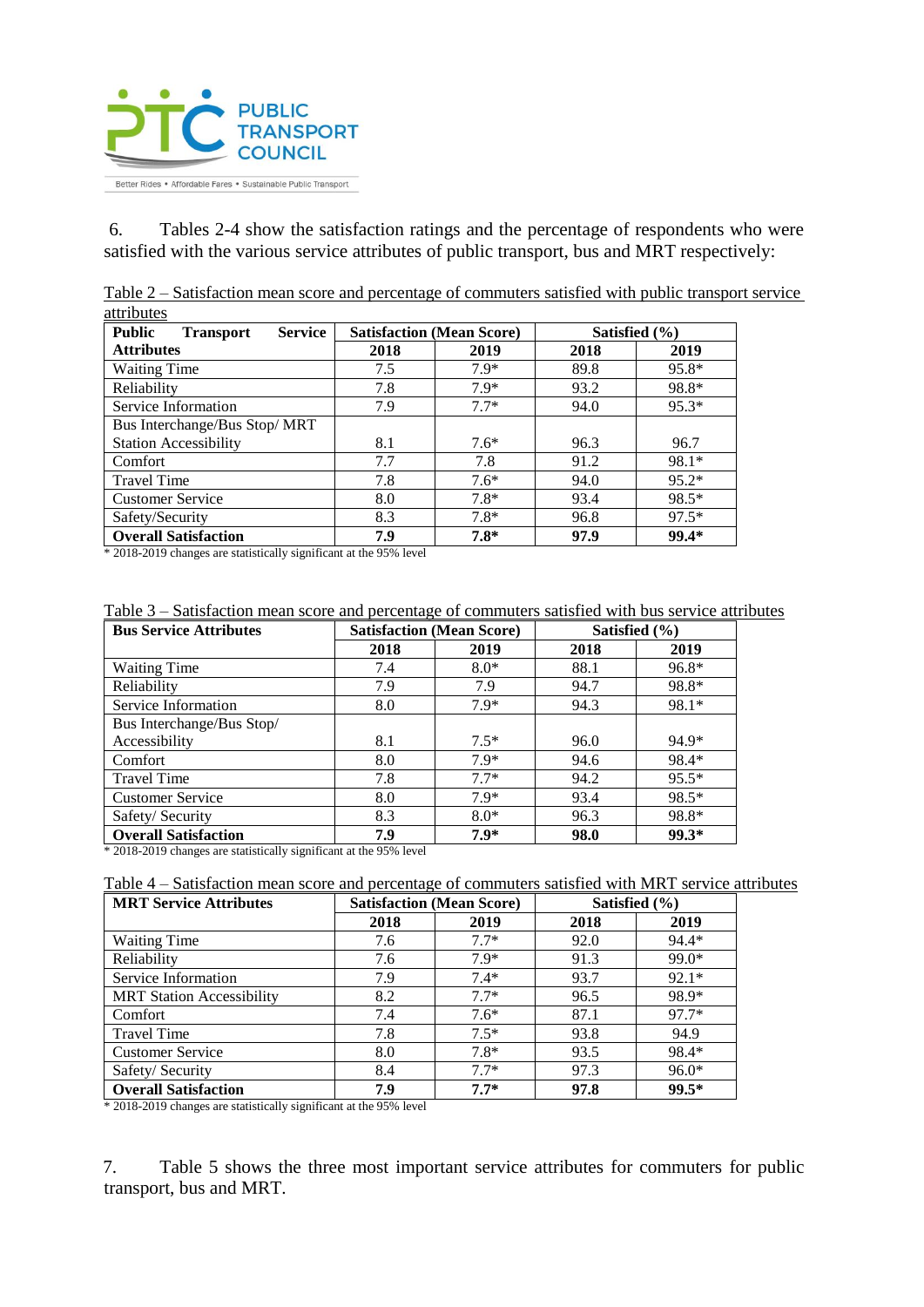

6. Tables 2-4 show the satisfaction ratings and the percentage of respondents who were satisfied with the various service attributes of public transport, bus and MRT respectively:

Table 2 – Satisfaction mean score and percentage of commuters satisfied with public transport service attributes

| Public<br><b>Service</b><br><b>Transport</b> | <b>Satisfaction (Mean Score)</b> |        | Satisfied $(\% )$ |         |
|----------------------------------------------|----------------------------------|--------|-------------------|---------|
| <b>Attributes</b>                            | 2018                             | 2019   | 2018              | 2019    |
| <b>Waiting Time</b>                          | 7.5                              | $7.9*$ | 89.8              | $95.8*$ |
| Reliability                                  | 7.8                              | $7.9*$ | 93.2              | 98.8*   |
| Service Information                          | 7.9                              | $77*$  | 94.0              | $95.3*$ |
| Bus Interchange/Bus Stop/MRT                 |                                  |        |                   |         |
| <b>Station Accessibility</b>                 | 8.1                              | $7.6*$ | 96.3              | 96.7    |
| Comfort                                      | 7.7                              | 7.8    | 91.2              | 98.1*   |
| <b>Travel Time</b>                           | 7.8                              | $7.6*$ | 94.0              | $95.2*$ |
| <b>Customer Service</b>                      | 8.0                              | $7.8*$ | 93.4              | $98.5*$ |
| Safety/Security                              | 8.3                              | $7.8*$ | 96.8              | $97.5*$ |
| <b>Overall Satisfaction</b>                  | 7.9                              | $7.8*$ | 97.9              | 99.4*   |

\* 2018-2019 changes are statistically significant at the 95% level

| Table 3 – Satisfaction mean score and percentage of commuters satisfied with bus service attributes |  |  |
|-----------------------------------------------------------------------------------------------------|--|--|
|                                                                                                     |  |  |

| <b>Bus Service Attributes</b>                                                                                                                                                     |      | <b>Satisfaction (Mean Score)</b> |      | Satisfied (%) |
|-----------------------------------------------------------------------------------------------------------------------------------------------------------------------------------|------|----------------------------------|------|---------------|
|                                                                                                                                                                                   | 2018 | 2019                             | 2018 | 2019          |
| <b>Waiting Time</b>                                                                                                                                                               | 7.4  | $8.0*$                           | 88.1 | $96.8*$       |
| Reliability                                                                                                                                                                       | 7.9  | 7.9                              | 94.7 | 98.8*         |
| Service Information                                                                                                                                                               | 8.0  | $7.9*$                           | 94.3 | 98.1*         |
| Bus Interchange/Bus Stop/                                                                                                                                                         |      |                                  |      |               |
| Accessibility                                                                                                                                                                     | 8.1  | $7.5*$                           | 96.0 | 94.9*         |
| Comfort                                                                                                                                                                           | 8.0  | $7.9*$                           | 94.6 | 98.4*         |
| <b>Travel Time</b>                                                                                                                                                                | 7.8  | $7.7*$                           | 94.2 | $95.5*$       |
| <b>Customer Service</b>                                                                                                                                                           | 8.0  | $7.9*$                           | 93.4 | 98.5*         |
| Safety/Security                                                                                                                                                                   | 8.3  | $8.0*$                           | 96.3 | 98.8*         |
| <b>Overall Satisfaction</b><br>the contract of the contract of the contract of the contract of the contract of the contract of the contract of<br>$A \cap A \cap A \cap A \cap A$ | 7.9  | $7.9*$                           | 98.0 | $99.3*$       |

\* 2018-2019 changes are statistically significant at the 95% level

| Table 4 – Satisfaction mean score and percentage of commuters satisfied with MRT service attributes |  |  |  |
|-----------------------------------------------------------------------------------------------------|--|--|--|
|                                                                                                     |  |  |  |

| <b>MRT Service Attributes</b>    | <b>Satisfaction (Mean Score)</b> |        | Satisfied $(\% )$ |         |
|----------------------------------|----------------------------------|--------|-------------------|---------|
|                                  | 2018                             | 2019   | 2018              | 2019    |
| <b>Waiting Time</b>              | 7.6                              | $7.7*$ | 92.0              | 94.4*   |
| Reliability                      | 7.6                              | $7.9*$ | 91.3              | $99.0*$ |
| Service Information              | 7.9                              | $7.4*$ | 93.7              | $92.1*$ |
| <b>MRT Station Accessibility</b> | 8.2                              | $7.7*$ | 96.5              | 98.9*   |
| Comfort                          | 7.4                              | $7.6*$ | 87.1              | $97.7*$ |
| <b>Travel Time</b>               | 7.8                              | $7.5*$ | 93.8              | 94.9    |
| <b>Customer Service</b>          | 8.0                              | $7.8*$ | 93.5              | 98.4*   |
| Safety/Security                  | 8.4                              | $7.7*$ | 97.3              | $96.0*$ |
| <b>Overall Satisfaction</b>      | 7.9                              | $7.7*$ | 97.8              | $99.5*$ |

\* 2018-2019 changes are statistically significant at the 95% level

7. Table 5 shows the three most important service attributes for commuters for public transport, bus and MRT.